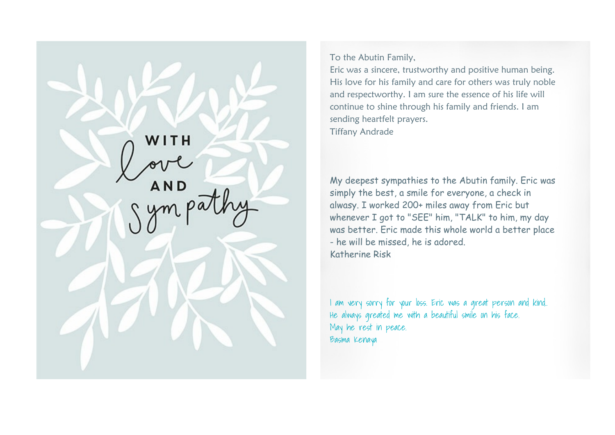WITH **AND** 

To the Abutin Family,

Eric was a sincere, trustworthy and positive human being. His love for his family and care for others was truly noble and respectworthy. I am sure the essence of his life will continue to shine through his family and friends. I am sending heartfelt prayers. Tiffany Andrade

My deepest sympathies to the Abutin family. Eric was simply the best, a smile for everyone, a check in alwasy. I worked 200+ miles away from Eric but whenever I got to "SEE" him, "TALK" to him, my day was better. Eric made this whole world a better place - he will be missed, he is adored. Katherine Risk

I am very sorry for your loss. Eric was a great person and kind.. He always greated me with a beautiful smile on his face. May he rest in peace. Basma Kenaya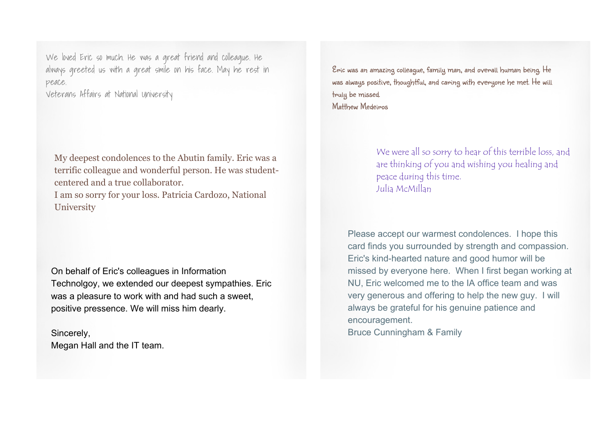We loved Eric so much. He was a great friend and colleague. He always greeted us with a great smile on his face. May he rest in peace.

Veterans Affairs at National University

My deepest condolences to the Abutin family. Eric was a terrific colleague and wonderful person. He was studentcentered and a true collaborator.

I am so sorry for your loss. Patricia Cardozo, National University

On behalf of Eric's colleagues in Information Technolgoy, we extended our deepest sympathies. Eric was a pleasure to work with and had such a sweet, positive pressence. We will miss him dearly.

Sincerely, Megan Hall and the IT team. Eric was an amazing colleague, family man, and overall human being. He was always positive, thoughtful, and caring with everyone he met. He will truly be missed. Matthew Medeiros

> We were all so sorry to hear of this terrible loss, and are thinking of you and wishing you healing and peace during this time. Julia McMillan

Please accept our warmest condolences. I hope this card finds you surrounded by strength and compassion. Eric's kind-hearted nature and good humor will be missed by everyone here. When I first began working at NU, Eric welcomed me to the IA office team and was very generous and offering to help the new guy. I will always be grateful for his genuine patience and encouragement. Bruce Cunningham & Family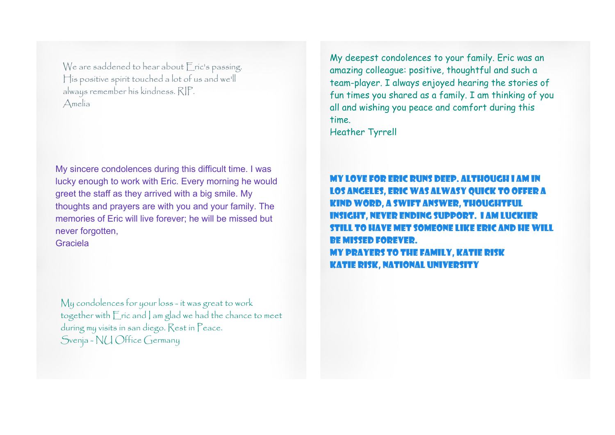We are saddened to hear about *Eric's* passing. His positive spirit touched a lot of us and we'll always remember his kindness. RIP. Amelia

My sincere condolences during this difficult time. I was lucky enough to work with Eric. Every morning he would greet the staff as they arrived with a big smile. My thoughts and prayers are with you and your family. The memories of Eric will live forever; he will be missed but never forgotten,

Graciela

My condolences for your loss - it was great to work together with Eric and I am glad we had the chance to meet during my visits in san diego. Rest in Peace. Svenja - NU Office Germany

My deepest condolences to your family. Eric was an amazing colleague: positive, thoughtful and such a team-player. I always enjoyed hearing the stories of fun times you shared as a family. I am thinking of you all and wishing you peace and comfort during this time.

Heather Tyrrell

My love for Eric runs deep. Although I am in Los Angeles, Eric was alwasy quick to offer a kind word, a swift answer, thoughtful ight, never ending support. I am luckier still to have met someone like Eric and he will be missed forever. My prayers to the family, Katie Risk Katie Risk, National University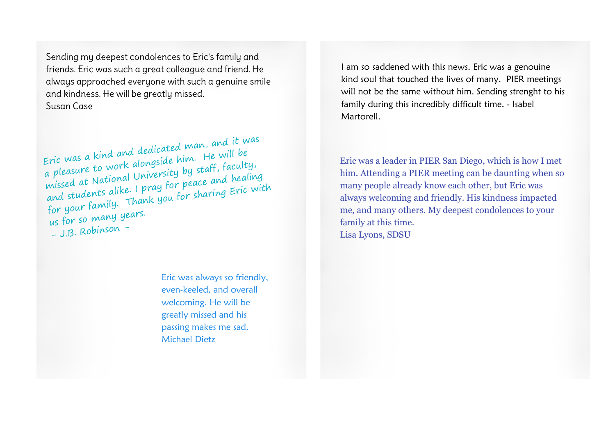Sending my deepest condolences to Eric's family and friends. Eric was such a great colleague and friend. He always approached everyone with such a genuine smile and kindness. He will be greatly missed. Susan Case

Eric was <sup>a</sup> kind and dedicated man, and it was <sup>a</sup> <sup>p</sup>leasure to work alongside him. He will be missed at Nationa<sup>l</sup> University by staff, faculty, and students alike. <sup>I</sup> pray for peace and healing for your family. Thank you for sharing Eric with us for so many years.  $-$  J.B. Robinson -

> Eric was always so friendly, even-keeled, and overall welcoming. He will be greatly missed and his passing makes me sad. Michael Dietz

I am so saddened with this news. Eric was a genouine kind soul that touched the lives of many. PIER meetings will not be the same without him. Sending strenght to his family during this incredibly difficult time. - Isabel Martorell.

Eric was a leader in PIER San Diego, which is how I met him. Attending a PIER meeting can be daunting when so many people already know each other, but Eric was always welcoming and friendly. His kindness impacted me, and many others. My deepest condolences to your family at this time. Lisa Lyons, SDSU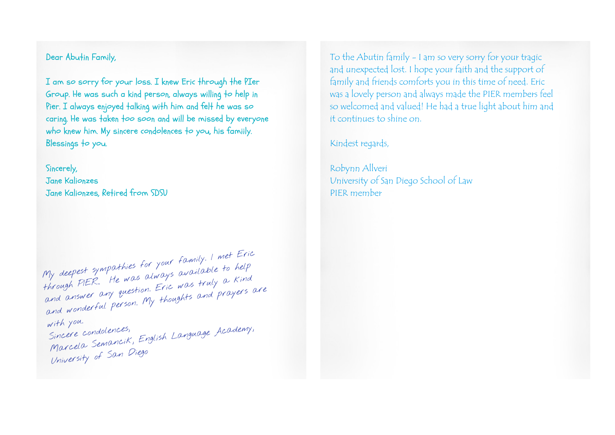## Dear Abutin Family,

I am so sorry for your loss. I knew Eric through the PIer Group. He was such a kind person, always willing to help in Pier. I always enjoyed talking with him and felt he was so caring. He was taken too soon and will be missed by everyone who knew him. My sincere condolences to you, his famiily. Blessings to you.

Sincerely, Jane Kalionzes Jane Kalionzes, Retired from SDSU

My deepest sympathies for you<sup>r</sup> family. <sup>I</sup> met Eric through PIER.. He was always available to help and answer any question. Eric was truly a Kind and wonderful person. My thoughts and prayers are with you. Sincere condolences,<br>Marcela Semancik, English Language Academy, University of San Diego

To the Abutin family - I am so very sorry for your tragic and unexpected lost. I hope your faith and the support of family and friends comforts you in this time of need. Eric was a lovely person and always made the PIER members feel so welcomed and valued! He had a true light about him and it continues to shine on.

Kindest regards,

Robynn Allveri University of San Diego School of Law PIER member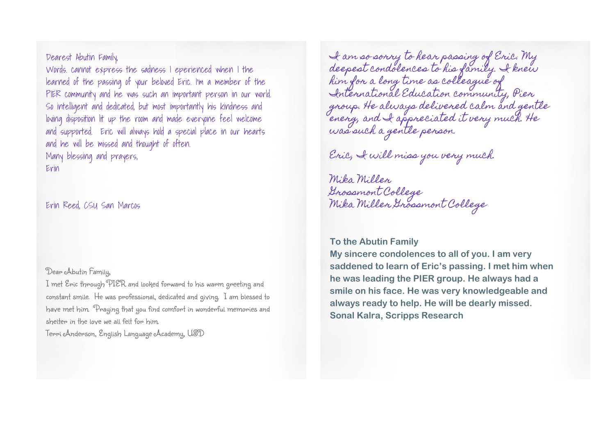Dearest Abutin Family,

Words. cannot express the sadness I eperienced when I the learned of the passing of your beloved Eric. I'm a member of the PIER community and he was such an important person in our world. So intelligent and dedicated, but most importantly his kindness and loving disposition lit up the room and made everyone feel welcome and supported. Eric will always hold a special place in our hearts and he will be missed and thought of often. Many blessing and prayers,

Erin

Erin Reed, CSU San Marcos

Dear Abutin Family,

I met Eric through PIER and looked forward to his warm greeting and constant smile. He was professional, dedicated and giving. I am blessed to have met him. Praying that you find comfort in wonderful memories and shelter in the love we all felt for him.

Terri Anderson, English Language Academy, USD

I am so sorry to hear passing of Eric. My deepest condolences to his family. I knew him for a long time as colleague of International Education community, Pier group. He always delivered calm and gentle energ, and I appreciated it very much. He was such a gentle person.

Eric, I will miss you very much.

Mika Miller Grossmont College Mika Miller Grossmont College

## **To the Abutin Family**

**My sincere condolences to all of you. I am very saddened to learn of Eric's passing. I met him when he was leading the PIER group. He always had a smile on his face. He was very knowledgeable and always ready to help. He will be dearly missed. Sonal Kalra, Scripps Research**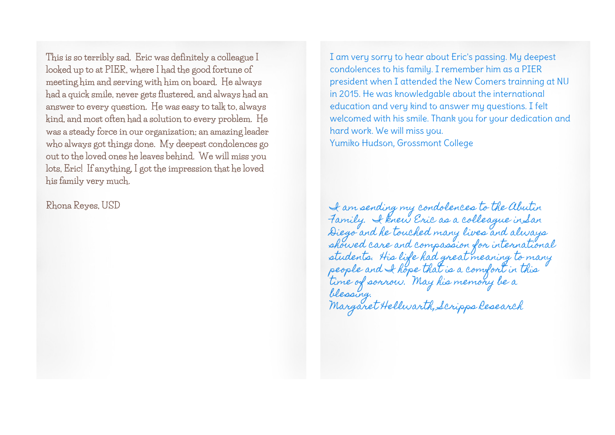**This is so terribly sad. Eric was definitely a colleague I looked up to at PIER, where I had the good fortune of meeting him and serving with him on board. He always had a quick smile, never gets flustered, and always had an answer to every question. He was easy to talk to, always kind, and most often had a solution to every problem. He was a steady force in our organization; an amazing leader who always got things done. My deepest condolences go out to the loved ones he leaves behind. We will miss you lots, Eric! If anything, I got the impression that he loved his family very much.**

**Rhona Reyes, USD**

I am very sorry to hear about Eric's passing. My deepest condolences to his family. I remember him as a PIER president when I attended the New Comers trainning at NU in 2015. He was knowledgable about the international education and very kind to answer my questions. I felt welcomed with his smile. Thank you for your dedication and hard work. We will miss you. Yumiko Hudson, Grossmont College

I am sending my condolences to the Abutin Family. I knew Eric as a colleague in San Diego and he touched many lives and always showed care and compassion for international students. His life had great meaning to many people and I hope that is a comfort in this time of sorrow. May his memory be a blessing. Margaret Hellwarth, Scripps Research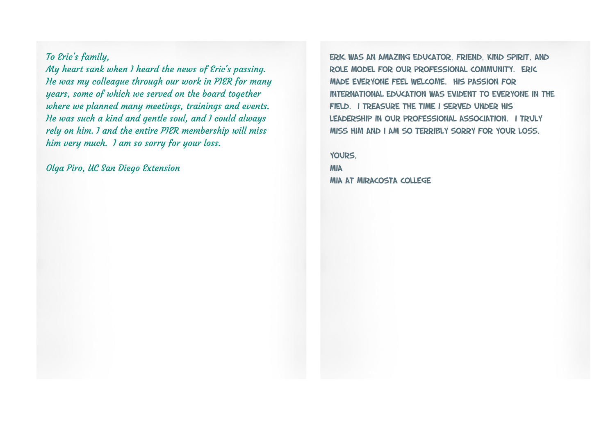To Eric's family,

My heart sank when I heard the news of *Eric's passing*. He was my colleague through our work in PIER for many years, some of which we served on the board together where we planned many meetings, trainings and events. He was such a kind and gentle soul, and I could always rely on him. I and the entire PIER membership will miss him very much. I am so sorry for your loss.

Olga Piro, UC San Diego Extension

Eric was an amazing educator, friend, kind spirit, and role model for our professional community. Eric made everyone feel welcome. His passion for international education was evident to everyone in the field. I treasure the time i served under his leadership in our professional association. I truly miss him and I am so terribly sorry for your loss.

Yours, **MIA** Mia at MiraCosta College